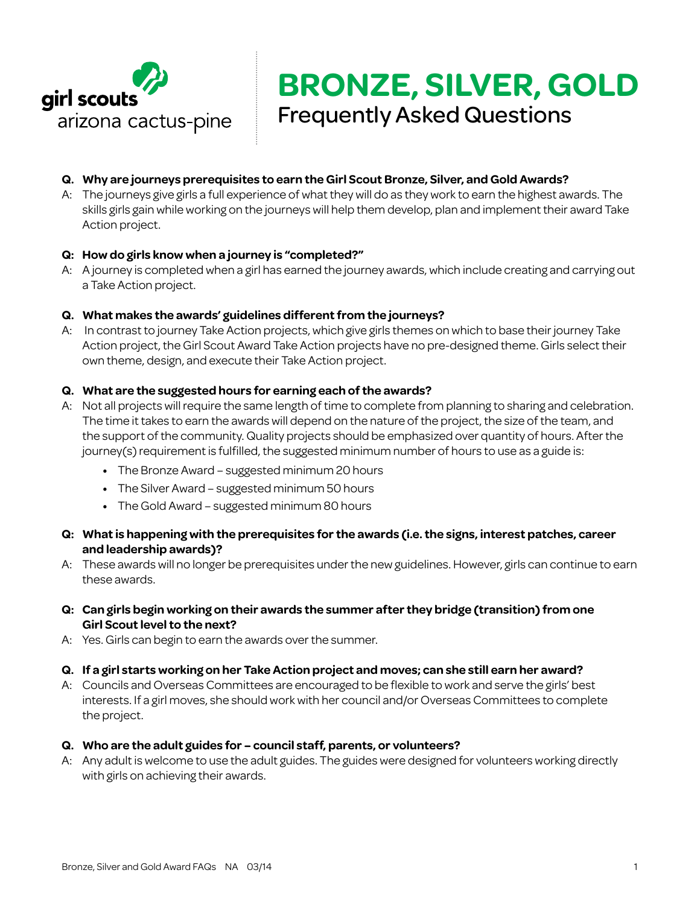

# **Q. Why are journeys prerequisites to earn the Girl Scout Bronze, Silver, and Gold Awards?**

A: The journeys give girls a full experience of what they will do as they work to earn the highest awards. The skills girls gain while working on the journeys will help them develop, plan and implement their award Take Action project.

### **Q: How do girls know when a journey is "completed?"**

A: A journey is completed when a girl has earned the journey awards, which include creating and carrying out a Take Action project.

### **Q. What makes the awards' guidelines different from the journeys?**

A: In contrast to journey Take Action projects, which give girls themes on which to base their journey Take Action project, the Girl Scout Award Take Action projects have no pre-designed theme. Girls select their own theme, design, and execute their Take Action project.

#### **Q. What are the suggested hours for earning each of the awards?**

- A: Not all projects will require the same length of time to complete from planning to sharing and celebration. The time it takes to earn the awards will depend on the nature of the project, the size of the team, and the support of the community. Quality projects should be emphasized over quantity of hours. After the journey(s) requirement is fulfilled, the suggested minimum number of hours to use as a guide is:
	- **•**  The Bronze Award suggested minimum 20 hours
	- **•**  The Silver Award suggested minimum 50 hours
	- **•**  The Gold Award suggested minimum 80 hours
- **Q: What is happening with the prerequisites for the awards (i.e. the signs, interest patches, career and leadership awards)?**
- A: These awards will no longer be prerequisites under the new guidelines. However, girls can continue to earn these awards.
- **Q: Can girls begin working on their awards the summer after they bridge (transition) from one Girl Scout level to the next?**
- A: Yes. Girls can begin to earn the awards over the summer.

#### **Q. If a girl starts working on her Take Action project and moves; can she still earn her award?**

A: Councils and Overseas Committees are encouraged to be flexible to work and serve the girls' best interests. If a girl moves, she should work with her council and/or Overseas Committees to complete the project.

#### **Q. Who are the adult guides for – council staff, parents, or volunteers?**

A: Any adult is welcome to use the adult guides. The guides were designed for volunteers working directly with girls on achieving their awards.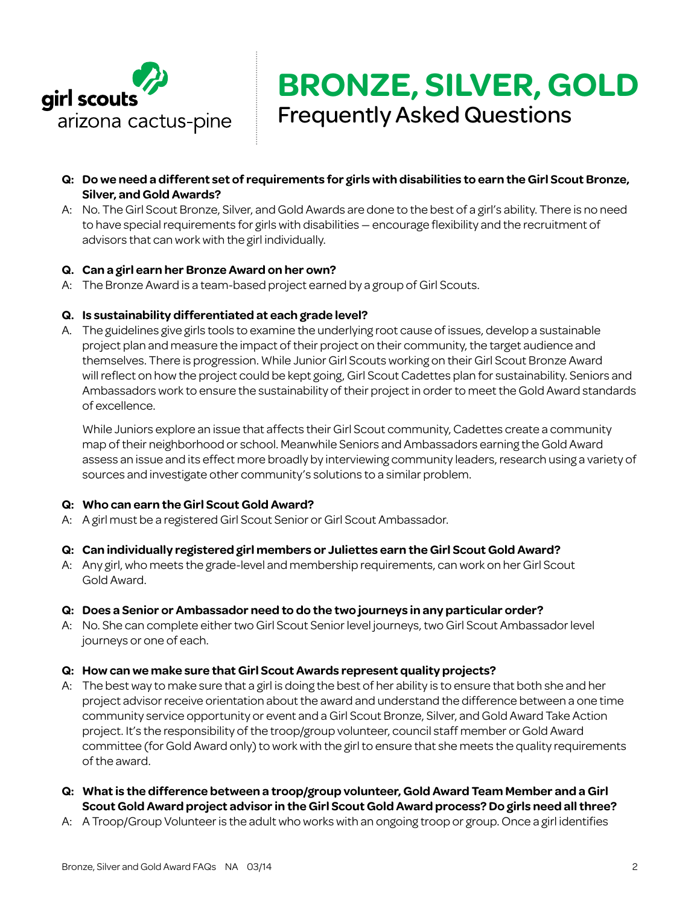

- **Q: Do we need a different set of requirements for girls with disabilities to earn the Girl Scout Bronze, Silver, and Gold Awards?**
- A: No. The Girl Scout Bronze, Silver, and Gold Awards are done to the best of a girl's ability. There is no need to have special requirements for girls with disabilities — encourage flexibility and the recruitment of advisors that can work with the girl individually.

### **Q. Can a girl earn her Bronze Award on her own?**

A: The Bronze Award is a team-based project earned by a group of Girl Scouts.

## **Q. Is sustainability differentiated at each grade level?**

A. The guidelines give girls tools to examine the underlying root cause of issues, develop a sustainable project plan and measure the impact of their project on their community, the target audience and themselves. There is progression. While Junior Girl Scouts working on their Girl Scout Bronze Award will reflect on how the project could be kept going, Girl Scout Cadettes plan for sustainability. Seniors and Ambassadors work to ensure the sustainability of their project in order to meet the Gold Award standards of excellence.

While Juniors explore an issue that affects their Girl Scout community, Cadettes create a community map of their neighborhood or school. Meanwhile Seniors and Ambassadors earning the Gold Award assess an issue and its effect more broadly by interviewing community leaders, research using a variety of sources and investigate other community's solutions to a similar problem.

### **Q: Who can earn the Girl Scout Gold Award?**

A: A girl must be a registered Girl Scout Senior or Girl Scout Ambassador.

### **Q: Can individually registered girl members or Juliettes earn the Girl Scout Gold Award?**

A: Any girl, who meets the grade-level and membership requirements, can work on her Girl Scout Gold Award.

### **Q: Does a Senior or Ambassador need to do the two journeys in any particular order?**

A: No. She can complete either two Girl Scout Senior level journeys, two Girl Scout Ambassador level journeys or one of each.

### **Q: How can we make sure that Girl Scout Awards represent quality projects?**

- A: The best way to make sure that a girl is doing the best of her ability is to ensure that both she and her project advisor receive orientation about the award and understand the difference between a one time community service opportunity or event and a Girl Scout Bronze, Silver, and Gold Award Take Action project. It's the responsibility of the troop/group volunteer, council staff member or Gold Award committee (for Gold Award only) to work with the girl to ensure that she meets the quality requirements of the award.
- **Q: What is the difference between a troop/group volunteer, Gold Award Team Member and a Girl Scout Gold Award project advisor in the Girl Scout Gold Award process? Do girls need all three?**
- A: A Troop/Group Volunteer is the adult who works with an ongoing troop or group. Once a girl identifies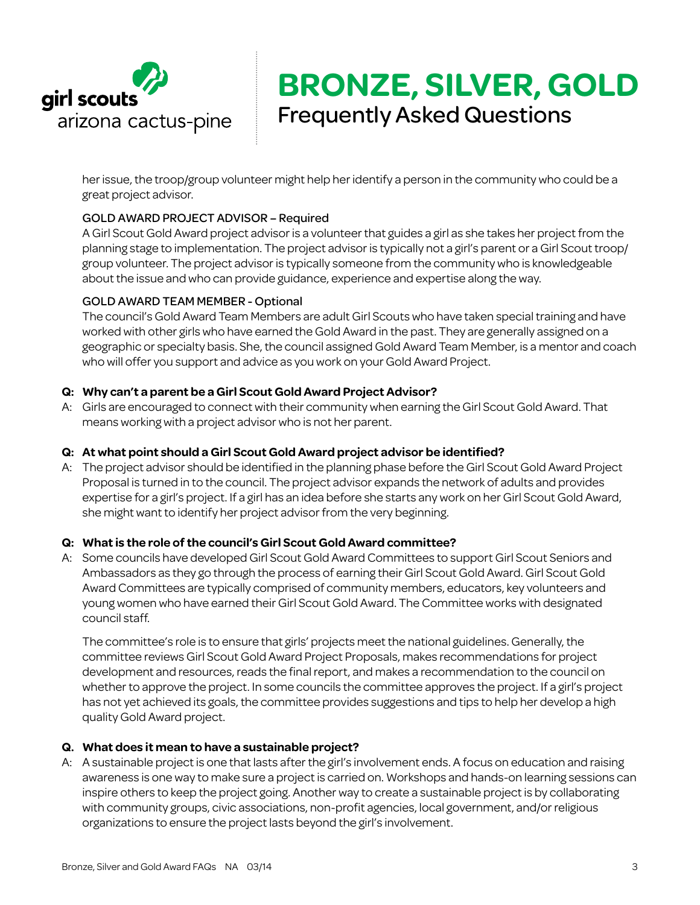

her issue, the troop/group volunteer might help her identify a person in the community who could be a great project advisor.

# GOLD AWARD PROJECT ADVISOR – Required

A Girl Scout Gold Award project advisor is a volunteer that guides a girl as she takes her project from the planning stage to implementation. The project advisor is typically not a girl's parent or a Girl Scout troop/ group volunteer. The project advisor is typically someone from the community who is knowledgeable about the issue and who can provide guidance, experience and expertise along the way.

### GOLD AWARD TEAM MEMBER - Optional

The council's Gold Award Team Members are adult Girl Scouts who have taken special training and have worked with other girls who have earned the Gold Award in the past. They are generally assigned on a geographic or specialty basis. She, the council assigned Gold Award Team Member, is a mentor and coach who will offer you support and advice as you work on your Gold Award Project.

## **Q: Why can't a parent be a Girl Scout Gold Award Project Advisor?**

A: Girls are encouraged to connect with their community when earning the Girl Scout Gold Award. That means working with a project advisor who is not her parent.

### **Q: At what point should a Girl Scout Gold Award project advisor be identified?**

A: The project advisor should be identified in the planning phase before the Girl Scout Gold Award Project Proposal is turned in to the council. The project advisor expands the network of adults and provides expertise for a girl's project. If a girl has an idea before she starts any work on her Girl Scout Gold Award, she might want to identify her project advisor from the very beginning.

### **Q: What is the role of the council's Girl Scout Gold Award committee?**

A: Some councils have developed Girl Scout Gold Award Committees to support Girl Scout Seniors and Ambassadors as they go through the process of earning their Girl Scout Gold Award. Girl Scout Gold Award Committees are typically comprised of community members, educators, key volunteers and young women who have earned their Girl Scout Gold Award. The Committee works with designated council staff.

The committee's role is to ensure that girls' projects meet the national guidelines. Generally, the committee reviews Girl Scout Gold Award Project Proposals, makes recommendations for project development and resources, reads the final report, and makes a recommendation to the council on whether to approve the project. In some councils the committee approves the project. If a girl's project has not yet achieved its goals, the committee provides suggestions and tips to help her develop a high quality Gold Award project.

### **Q. What does it mean to have a sustainable project?**

A: A sustainable project is one that lasts after the girl's involvement ends. A focus on education and raising awareness is one way to make sure a project is carried on. Workshops and hands-on learning sessions can inspire others to keep the project going. Another way to create a sustainable project is by collaborating with community groups, civic associations, non-profit agencies, local government, and/or religious organizations to ensure the project lasts beyond the girl's involvement.